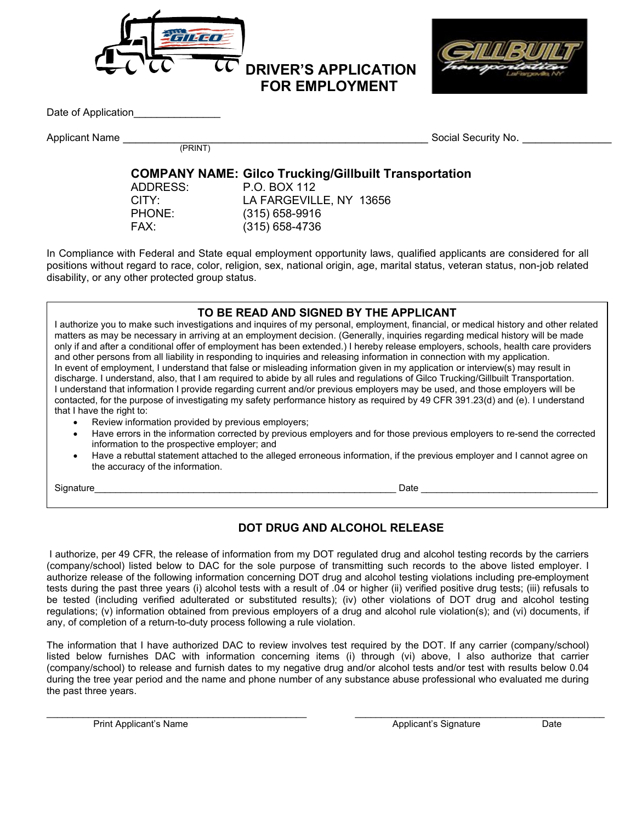

Date of Application

Applicant Name \_\_\_\_\_\_\_\_\_\_\_\_\_\_\_\_\_\_\_\_\_\_\_\_\_\_\_\_\_\_\_\_\_\_\_\_\_\_\_\_\_\_\_\_\_\_\_\_ Social Security No. \_\_\_\_\_\_\_\_\_\_\_\_\_\_ (PRINT)

# **COMPANY NAME: Gilco Trucking/Gillbuilt Transportation**

ADDRESS: P.O. BOX 112 CITY: LA FARGEVILLE, NY 13656<br>PHONE: (315) 658-9916  $(315)$  658-9916 FAX: (315) 658-4736

 **FOR EMPLOYMENT**

In Compliance with Federal and State equal employment opportunity laws, qualified applicants are considered for all positions without regard to race, color, religion, sex, national origin, age, marital status, veteran status, non-job related disability, or any other protected group status.

## **TO BE READ AND SIGNED BY THE APPLICANT**

I authorize you to make such investigations and inquires of my personal, employment, financial, or medical history and other related matters as may be necessary in arriving at an employment decision. (Generally, inquiries regarding medical history will be made only if and after a conditional offer of employment has been extended.) I hereby release employers, schools, health care providers and other persons from all liability in responding to inquiries and releasing information in connection with my application. In event of employment, I understand that false or misleading information given in my application or interview(s) may result in discharge. I understand, also, that I am required to abide by all rules and regulations of Gilco Trucking/Gillbuilt Transportation. I understand that information I provide regarding current and/or previous employers may be used, and those employers will be contacted, for the purpose of investigating my safety performance history as required by 49 CFR 391.23(d) and (e). I understand that I have the right to:

- Review information provided by previous employers;
- Have errors in the information corrected by previous employers and for those previous employers to re-send the corrected information to the prospective employer; and
- Have a rebuttal statement attached to the alleged erroneous information, if the previous employer and I cannot agree on the accuracy of the information.

Signature **Example 20 and 20 and 20 and 20 and 20 and 20 and 20 and 20 and 20 and 20 and 20 and 20 and 20 and 20 and 20 and 20 and 20 and 20 and 20 and 20 and 20 and 20 and 20 and 20 and 20 and 20 and 20 and 20 and 20 and** 

# **DOT DRUG AND ALCOHOL RELEASE**

I authorize, per 49 CFR, the release of information from my DOT regulated drug and alcohol testing records by the carriers (company/school) listed below to DAC for the sole purpose of transmitting such records to the above listed employer. I authorize release of the following information concerning DOT drug and alcohol testing violations including pre-employment tests during the past three years (i) alcohol tests with a result of .04 or higher (ii) verified positive drug tests; (iii) refusals to be tested (including verified adulterated or substituted results); (iv) other violations of DOT drug and alcohol testing regulations; (v) information obtained from previous employers of a drug and alcohol rule violation(s); and (vi) documents, if any, of completion of a return-to-duty process following a rule violation.

The information that I have authorized DAC to review involves test required by the DOT. If any carrier (company/school) listed below furnishes DAC with information concerning items (i) through (vi) above, I also authorize that carrier (company/school) to release and furnish dates to my negative drug and/or alcohol tests and/or test with results below 0.04 during the tree year period and the name and phone number of any substance abuse professional who evaluated me during the past three years.

 $\sim$  . The contribution of the contribution of the contribution of the contribution of the contribution of the contribution of the contribution of the contribution of the contribution of the contribution of the contributi Print Applicant's Name **Applicant's Signature** Date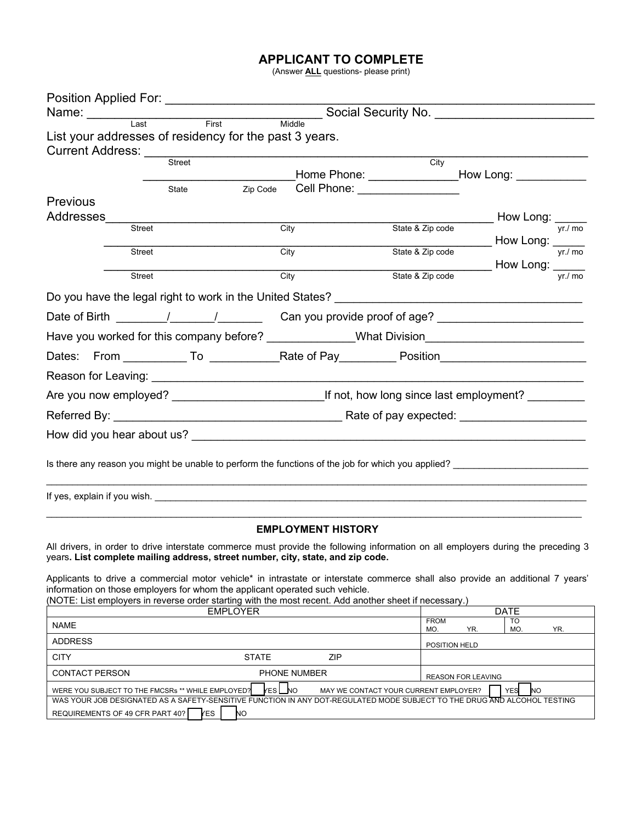# **APPLICANT TO COMPLETE**

(Answer **ALL** questions- please print)

| Position Applied For: ____________________________                                                                                                                                                                                                                                                                                   |                           |                                                         |                                          |
|--------------------------------------------------------------------------------------------------------------------------------------------------------------------------------------------------------------------------------------------------------------------------------------------------------------------------------------|---------------------------|---------------------------------------------------------|------------------------------------------|
| Name: Last First Middle Social Security No.                                                                                                                                                                                                                                                                                          |                           |                                                         |                                          |
|                                                                                                                                                                                                                                                                                                                                      |                           |                                                         |                                          |
| List your addresses of residency for the past 3 years.                                                                                                                                                                                                                                                                               |                           |                                                         |                                          |
| Current Address: Street                                                                                                                                                                                                                                                                                                              |                           | $\overline{City}$                                       |                                          |
|                                                                                                                                                                                                                                                                                                                                      |                           |                                                         |                                          |
| State                                                                                                                                                                                                                                                                                                                                | Zip Code                  | Cell Phone: <u>________________</u>                     |                                          |
| Previous                                                                                                                                                                                                                                                                                                                             |                           |                                                         |                                          |
| Addresses<br><b>Street</b>                                                                                                                                                                                                                                                                                                           | City                      | State & Zip code                                        | $\frac{1}{e}$ How Long: $\frac{1}{yr/m}$ |
|                                                                                                                                                                                                                                                                                                                                      |                           |                                                         |                                          |
| <b>Street</b>                                                                                                                                                                                                                                                                                                                        | City                      | State & Zip code How Long: VERTING                      |                                          |
| Street                                                                                                                                                                                                                                                                                                                               | City                      | State & Zip code <b>How Long:</b> $\frac{1}{y r f m o}$ |                                          |
|                                                                                                                                                                                                                                                                                                                                      |                           |                                                         |                                          |
| Do you have the legal right to work in the United States? ______________________                                                                                                                                                                                                                                                     |                           |                                                         |                                          |
|                                                                                                                                                                                                                                                                                                                                      |                           |                                                         |                                          |
| Have you worked for this company before? _____________What Division_________________________________                                                                                                                                                                                                                                 |                           |                                                         |                                          |
|                                                                                                                                                                                                                                                                                                                                      |                           |                                                         |                                          |
|                                                                                                                                                                                                                                                                                                                                      |                           |                                                         |                                          |
|                                                                                                                                                                                                                                                                                                                                      |                           |                                                         |                                          |
|                                                                                                                                                                                                                                                                                                                                      |                           |                                                         |                                          |
|                                                                                                                                                                                                                                                                                                                                      |                           |                                                         |                                          |
| Is there any reason you might be unable to perform the functions of the job for which you applied?                                                                                                                                                                                                                                   |                           |                                                         |                                          |
|                                                                                                                                                                                                                                                                                                                                      |                           |                                                         |                                          |
|                                                                                                                                                                                                                                                                                                                                      | <b>EMPLOYMENT HISTORY</b> |                                                         |                                          |
| All drivers, in order to drive interstate commerce must provide the following information on all employers during the preceding 3<br>years. List complete mailing address, street number, city, state, and zip code.                                                                                                                 |                           |                                                         |                                          |
| Applicants to drive a commercial motor vehicle <sup>*</sup> in intrastate or interstate commerce shall also provide an additional 7 years'<br>information on those employers for whom the applicant operated such vehicle.<br>(NOTE: List employers in reverse order starting with the most recent. Add another sheet if necessary.) |                           |                                                         |                                          |
| <b>EMPLOYER</b>                                                                                                                                                                                                                                                                                                                      |                           |                                                         | <b>DATE</b>                              |
| <b>NAME</b>                                                                                                                                                                                                                                                                                                                          |                           | <b>FROM</b><br>YR.<br>MO.                               | TO<br>MO.<br>YR.                         |
| <b>ADDRESS</b>                                                                                                                                                                                                                                                                                                                       |                           | POSITION HELD                                           |                                          |
| <b>CITY</b>                                                                                                                                                                                                                                                                                                                          | <b>STATE</b><br>ZIP       |                                                         |                                          |

| <b>CONTACT PERSON</b>                             | <b>PHONE NUMBER</b> | REASON FOR LEAVING                                                                                                       |
|---------------------------------------------------|---------------------|--------------------------------------------------------------------------------------------------------------------------|
| WERE YOU SUBJECT TO THE FMCSRs ** WHILE EMPLOYED? | <b>YES</b> NO       | <b>YES</b><br>MAY WE CONTACT YOUR CURRENT EMPLOYER?<br><b>INC</b>                                                        |
|                                                   |                     | WAS YOUR JOB DESIGNATED AS A SAFETY-SENSITIVE FUNCTION IN ANY DOT-REGULATED MODE SUBJECT TO THE DRUG AND ALCOHOL TESTING |
| REQUIREMENTS OF 49 CFR PART 40?<br><b>YES</b>     | <b>NC</b>           |                                                                                                                          |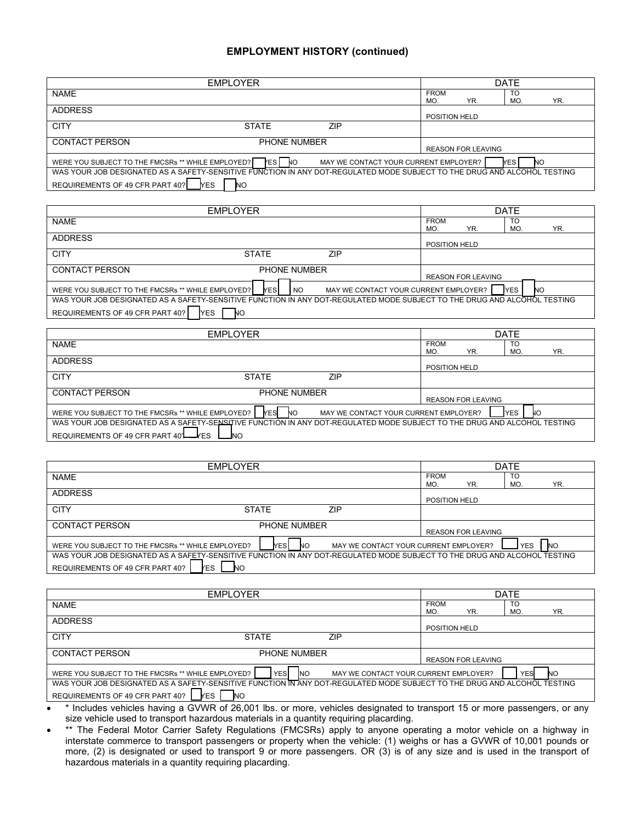## **EMPLOYMENT HISTORY (continued)**

|                                                                                                                          | <b>EMPLOYER</b>         |                                       |                           | <b>DATE</b>      |
|--------------------------------------------------------------------------------------------------------------------------|-------------------------|---------------------------------------|---------------------------|------------------|
| <b>NAME</b>                                                                                                              |                         |                                       | <b>FROM</b><br>YR.<br>MO. | TO<br>YR.<br>MO. |
| <b>ADDRESS</b>                                                                                                           |                         |                                       | POSITION HELD             |                  |
| <b>CITY</b>                                                                                                              | <b>STATE</b>            | <b>ZIP</b>                            |                           |                  |
| <b>CONTACT PERSON</b>                                                                                                    | <b>PHONE NUMBER</b>     |                                       | <b>REASON FOR LEAVING</b> |                  |
| WERE YOU SUBJECT TO THE FMCSRs ** WHILE EMPLOYED?                                                                        | <b>PESI NO</b>          | MAY WE CONTACT YOUR CURRENT EMPLOYER? |                           | <b>YES</b><br>NO |
| WAS YOUR JOB DESIGNATED AS A SAFETY-SENSITIVE FUNCTION IN ANY DOT-REGULATED MODE SUBJECT TO THE DRUG AND ALCOHOL TESTING |                         |                                       |                           |                  |
| REQUIREMENTS OF 49 CFR PART 40?                                                                                          | <b>YES</b><br><b>NO</b> |                                       |                           |                  |

| <b>EMPLOYER</b>                                                                                                          |                                       |                           | <b>DATE</b>             |
|--------------------------------------------------------------------------------------------------------------------------|---------------------------------------|---------------------------|-------------------------|
| <b>NAME</b>                                                                                                              |                                       | <b>FROM</b><br>YR.<br>MO. | <b>TO</b><br>YR.<br>MO. |
| <b>ADDRESS</b>                                                                                                           |                                       | POSITION HELD             |                         |
| <b>CITY</b><br><b>STATE</b>                                                                                              | ZIP                                   |                           |                         |
| <b>CONTACT PERSON</b><br><b>PHONE NUMBER</b>                                                                             |                                       | <b>REASON FOR LEAVING</b> |                         |
| <b>YES</b><br>WERE YOU SUBJECT TO THE FMCSRs ** WHILE EMPLOYED?<br><b>NO</b>                                             | MAY WE CONTACT YOUR CURRENT EMPLOYER? |                           | <b>IYES</b><br>NΟ       |
| WAS YOUR JOB DESIGNATED AS A SAFETY-SENSITIVE FUNCTION IN ANY DOT-REGULATED MODE SUBJECT TO THE DRUG AND ALCOHOL TESTING |                                       |                           |                         |
| REQUIREMENTS OF 49 CFR PART 40?<br>IYES<br>NО                                                                            |                                       |                           |                         |

|                                                                                                                          | <b>EMPLOYER</b>         |                                       |                    |                           | <b>DATE</b>      |     |
|--------------------------------------------------------------------------------------------------------------------------|-------------------------|---------------------------------------|--------------------|---------------------------|------------------|-----|
| <b>NAME</b>                                                                                                              |                         |                                       | <b>FROM</b><br>MO. | YR.                       | TO<br><b>MO</b>  | YR. |
| <b>ADDRESS</b>                                                                                                           |                         |                                       | POSITION HELD      |                           |                  |     |
| <b>CITY</b>                                                                                                              | <b>STATE</b>            | ZIP                                   |                    |                           |                  |     |
| <b>CONTACT PERSON</b>                                                                                                    | PHONE NUMBER            |                                       |                    | <b>REASON FOR LEAVING</b> |                  |     |
| WERE YOU SUBJECT TO THE FMCSRs ** WHILE EMPLOYED?                                                                        | <b>YES</b><br><b>NO</b> | MAY WE CONTACT YOUR CURRENT EMPLOYER? |                    |                           | <b>YES</b><br>NО |     |
| WAS YOUR JOB DESIGNATED AS A SAFETY-SENSITIVE FUNCTION IN ANY DOT-REGULATED MODE SUBJECT TO THE DRUG AND ALCOHOL TESTING |                         |                                       |                    |                           |                  |     |
| REQUIREMENTS OF 49 CFR PART 40 <sup>'</sup> LAFES                                                                        | <b>NO</b>               |                                       |                    |                           |                  |     |

|                                                                                                                                                                           | <b>EMPLOYER</b>    |                                       |                           | <b>DATE</b>             |
|---------------------------------------------------------------------------------------------------------------------------------------------------------------------------|--------------------|---------------------------------------|---------------------------|-------------------------|
| <b>NAME</b>                                                                                                                                                               |                    |                                       | <b>FROM</b><br>YR.<br>MO. | TO<br>YR.<br>MO         |
| <b>ADDRESS</b>                                                                                                                                                            |                    |                                       | <b>POSITION HELD</b>      |                         |
| <b>CITY</b>                                                                                                                                                               | <b>STATE</b>       | <b>ZIP</b>                            |                           |                         |
| <b>CONTACT PERSON</b>                                                                                                                                                     | PHONE NUMBER       |                                       | <b>REASON FOR LEAVING</b> |                         |
| WERE YOU SUBJECT TO THE FMCSRs ** WHILE EMPLOYED?                                                                                                                         | <b>YESI</b><br>-NO | MAY WE CONTACT YOUR CURRENT EMPLOYER? |                           | <b>NO</b><br><b>YES</b> |
| WAS YOUR JOB DESIGNATED AS A SAFETY-SENSITIVE FUNCTION IN ANY DOT-REGULATED MODE SUBJECT TO THE DRUG AND ALCOHOL TESTING<br>REQUIREMENTS OF 49 CFR PART 40?<br><b>YES</b> | NO.                |                                       |                           |                         |

|                                                   | <b>EMPLOYER</b>                                                                                                          |                                       |                    |                           | <b>DATE</b> |     |
|---------------------------------------------------|--------------------------------------------------------------------------------------------------------------------------|---------------------------------------|--------------------|---------------------------|-------------|-----|
| <b>NAME</b>                                       |                                                                                                                          |                                       | <b>FROM</b><br>MO. | YR.                       | TO<br>MO    | YR. |
| <b>ADDRESS</b>                                    |                                                                                                                          |                                       | POSITION HELD      |                           |             |     |
| <b>CITY</b>                                       | <b>STATE</b>                                                                                                             | ZIP                                   |                    |                           |             |     |
| <b>CONTACT PERSON</b>                             | <b>PHONE NUMBER</b>                                                                                                      |                                       |                    | <b>REASON FOR LEAVING</b> |             |     |
| WERE YOU SUBJECT TO THE FMCSRs ** WHILE EMPLOYED? | YESI<br><b>INO</b>                                                                                                       | MAY WE CONTACT YOUR CURRENT EMPLOYER? |                    |                           | YES         | NO. |
|                                                   | WAS YOUR JOB DESIGNATED AS A SAFETY-SENSITIVE FUNCTION IN ANY DOT-REGULATED MODE SUBJECT TO THE DRUG AND ALCOHOL TESTING |                                       |                    |                           |             |     |
| REQUIREMENTS OF 49 CFR PART 40?                   | <b>YES</b><br><b>NO</b>                                                                                                  |                                       |                    |                           |             |     |

• \* Includes vehicles having a GVWR of 26,001 lbs. or more, vehicles designated to transport 15 or more passengers, or any size vehicle used to transport hazardous materials in a quantity requiring placarding.

<sup>•</sup> \*\* The Federal Motor Carrier Safety Regulations (FMCSRs) apply to anyone operating a motor vehicle on a highway in interstate commerce to transport passengers or property when the vehicle: (1) weighs or has a GVWR of 10,001 pounds or more, (2) is designated or used to transport 9 or more passengers. OR (3) is of any size and is used in the transport of hazardous materials in a quantity requiring placarding.